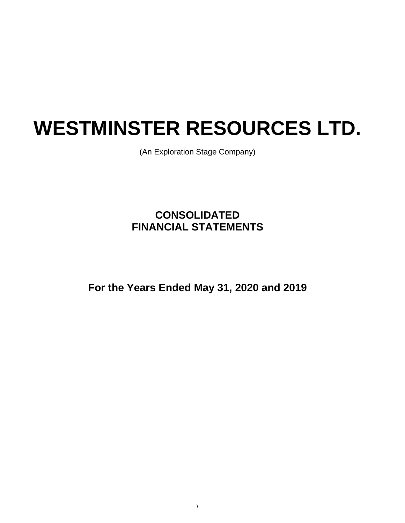# **WESTMINSTER RESOURCES LTD.**

(An Exploration Stage Company)

# **CONSOLIDATED FINANCIAL STATEMENTS**

**For the Years Ended May 31, 2020 and 2019**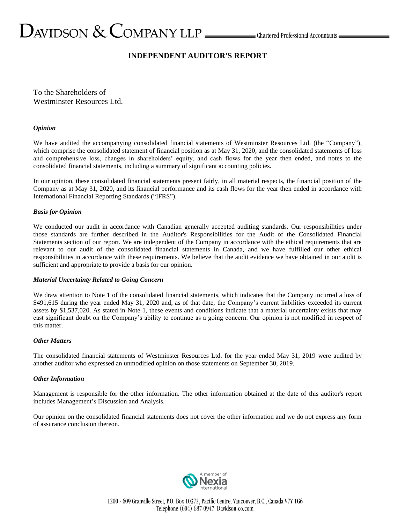## **INDEPENDENT AUDITOR'S REPORT**

To the Shareholders of Westminster Resources Ltd.

#### *Opinion*

We have audited the accompanying consolidated financial statements of Westminster Resources Ltd. (the "Company"), which comprise the consolidated statement of financial position as at May 31, 2020, and the consolidated statements of loss and comprehensive loss, changes in shareholders' equity, and cash flows for the year then ended, and notes to the consolidated financial statements, including a summary of significant accounting policies.

In our opinion, these consolidated financial statements present fairly, in all material respects, the financial position of the Company as at May 31, 2020, and its financial performance and its cash flows for the year then ended in accordance with International Financial Reporting Standards ("IFRS").

#### *Basis for Opinion*

We conducted our audit in accordance with Canadian generally accepted auditing standards. Our responsibilities under those standards are further described in the Auditor's Responsibilities for the Audit of the Consolidated Financial Statements section of our report. We are independent of the Company in accordance with the ethical requirements that are relevant to our audit of the consolidated financial statements in Canada, and we have fulfilled our other ethical responsibilities in accordance with these requirements. We believe that the audit evidence we have obtained in our audit is sufficient and appropriate to provide a basis for our opinion.

#### *Material Uncertainty Related to Going Concern*

We draw attention to Note 1 of the consolidated financial statements, which indicates that the Company incurred a loss of \$491,615 during the year ended May 31, 2020 and, as of that date, the Company's current liabilities exceeded its current assets by \$1,537,020. As stated in Note 1, these events and conditions indicate that a material uncertainty exists that may cast significant doubt on the Company's ability to continue as a going concern. Our opinion is not modified in respect of this matter.

#### *Other Matters*

The consolidated financial statements of Westminster Resources Ltd. for the year ended May 31, 2019 were audited by another auditor who expressed an unmodified opinion on those statements on September 30, 2019.

#### *Other Information*

Management is responsible for the other information. The other information obtained at the date of this auditor's report includes Management's Discussion and Analysis.

Our opinion on the consolidated financial statements does not cover the other information and we do not express any form of assurance conclusion thereon.

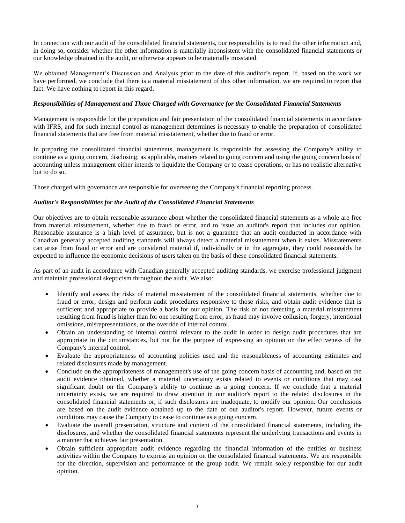In connection with our audit of the consolidated financial statements, our responsibility is to read the other information and, in doing so, consider whether the other information is materially inconsistent with the consolidated financial statements or our knowledge obtained in the audit, or otherwise appears to be materially misstated.

We obtained Management's Discussion and Analysis prior to the date of this auditor's report. If, based on the work we have performed, we conclude that there is a material misstatement of this other information, we are required to report that fact. We have nothing to report in this regard.

#### *Responsibilities of Management and Those Charged with Governance for the Consolidated Financial Statements*

Management is responsible for the preparation and fair presentation of the consolidated financial statements in accordance with IFRS, and for such internal control as management determines is necessary to enable the preparation of consolidated financial statements that are free from material misstatement, whether due to fraud or error.

In preparing the consolidated financial statements, management is responsible for assessing the Company's ability to continue as a going concern, disclosing, as applicable, matters related to going concern and using the going concern basis of accounting unless management either intends to liquidate the Company or to cease operations, or has no realistic alternative but to do so.

Those charged with governance are responsible for overseeing the Company's financial reporting process.

#### *Auditor's Responsibilities for the Audit of the Consolidated Financial Statements*

Our objectives are to obtain reasonable assurance about whether the consolidated financial statements as a whole are free from material misstatement, whether due to fraud or error, and to issue an auditor's report that includes our opinion. Reasonable assurance is a high level of assurance, but is not a guarantee that an audit conducted in accordance with Canadian generally accepted auditing standards will always detect a material misstatement when it exists. Misstatements can arise from fraud or error and are considered material if, individually or in the aggregate, they could reasonably be expected to influence the economic decisions of users taken on the basis of these consolidated financial statements.

As part of an audit in accordance with Canadian generally accepted auditing standards, we exercise professional judgment and maintain professional skepticism throughout the audit. We also:

- Identify and assess the risks of material misstatement of the consolidated financial statements, whether due to fraud or error, design and perform audit procedures responsive to those risks, and obtain audit evidence that is sufficient and appropriate to provide a basis for our opinion. The risk of not detecting a material misstatement resulting from fraud is higher than for one resulting from error, as fraud may involve collusion, forgery, intentional omissions, misrepresentations, or the override of internal control.
- Obtain an understanding of internal control relevant to the audit in order to design audit procedures that are appropriate in the circumstances, but not for the purpose of expressing an opinion on the effectiveness of the Company's internal control.
- Evaluate the appropriateness of accounting policies used and the reasonableness of accounting estimates and related disclosures made by management.
- Conclude on the appropriateness of management's use of the going concern basis of accounting and, based on the audit evidence obtained, whether a material uncertainty exists related to events or conditions that may cast significant doubt on the Company's ability to continue as a going concern. If we conclude that a material uncertainty exists, we are required to draw attention in our auditor's report to the related disclosures in the consolidated financial statements or, if such disclosures are inadequate, to modify our opinion. Our conclusions are based on the audit evidence obtained up to the date of our auditor's report. However, future events or conditions may cause the Company to cease to continue as a going concern.
- Evaluate the overall presentation, structure and content of the consolidated financial statements, including the disclosures, and whether the consolidated financial statements represent the underlying transactions and events in a manner that achieves fair presentation.
- Obtain sufficient appropriate audit evidence regarding the financial information of the entities or business activities within the Company to express an opinion on the consolidated financial statements. We are responsible for the direction, supervision and performance of the group audit. We remain solely responsible for our audit opinion.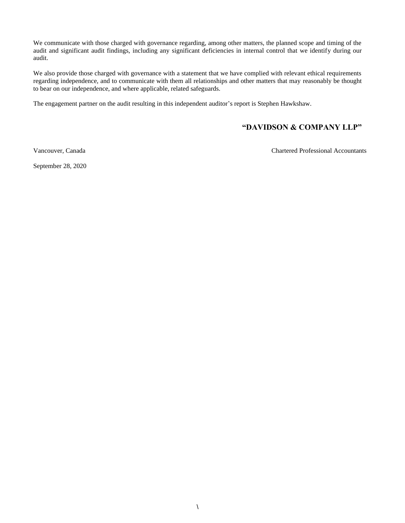We communicate with those charged with governance regarding, among other matters, the planned scope and timing of the audit and significant audit findings, including any significant deficiencies in internal control that we identify during our audit.

We also provide those charged with governance with a statement that we have complied with relevant ethical requirements regarding independence, and to communicate with them all relationships and other matters that may reasonably be thought to bear on our independence, and where applicable, related safeguards.

The engagement partner on the audit resulting in this independent auditor's report is Stephen Hawkshaw.

### **"DAVIDSON & COMPANY LLP"**

Vancouver, Canada Chartered Professional Accountants

September 28, 2020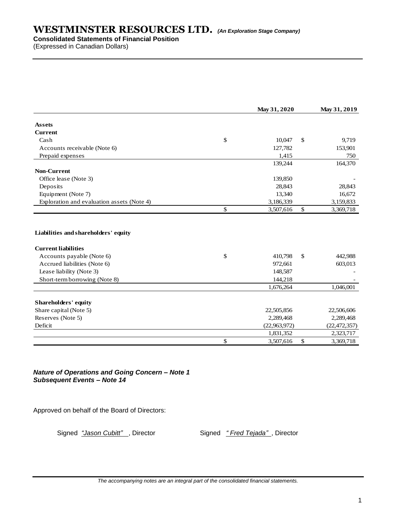**Consolidated Statements of Financial Position**

(Expressed in Canadian Dollars)

|                                            | May 31, 2020    |               | May 31, 2019   |
|--------------------------------------------|-----------------|---------------|----------------|
| <b>Assets</b>                              |                 |               |                |
| <b>Current</b>                             |                 |               |                |
| Cash                                       | \$<br>10.047    | $\mathcal{S}$ | 9.719          |
| Accounts receivable (Note 6)               | 127,782         |               | 153,901        |
| Prepaid expenses                           | 1,415           |               | 750            |
|                                            | 139,244         |               | 164,370        |
| <b>Non-Current</b>                         |                 |               |                |
| Office lease (Note 3)                      | 139,850         |               |                |
| Deposits                                   | 28,843          |               | 28,843         |
| Equipment (Note 7)                         | 13,340          |               | 16,672         |
| Exploration and evaluation assets (Note 4) | 3,186,339       |               | 3,159,833      |
|                                            | \$<br>3,507,616 | \$            | 3,369,718      |
|                                            |                 |               |                |
|                                            |                 |               |                |
| <b>Current liabilities</b>                 |                 |               |                |
| Accounts payable (Note 6)                  | \$<br>410,798   | \$            | 442,988        |
| Accrued liabilities (Note 6)               | 972,661         |               | 603,013        |
| Lease liability (Note 3)                   | 148,587         |               |                |
| Short-term borrowing (Note 8)              | 144,218         |               |                |
|                                            | 1,676,264       |               | 1,046,001      |
| Shareholders' equity                       |                 |               |                |
| Share capital (Note 5)                     | 22,505,856      |               | 22,506,606     |
| Reserves (Note 5)                          | 2,289,468       |               | 2,289,468      |
| Deficit                                    | (22,963,972)    |               | (22, 472, 357) |
|                                            | 1,831,352       |               | 2,323,717      |

*Nature of Operations and Going Concern – Note 1 Subsequent Events – Note 14*

Approved on behalf of the Board of Directors:

Signed *"Jason Cubitt"*, Director Signed *" Fred Tejada"*, Director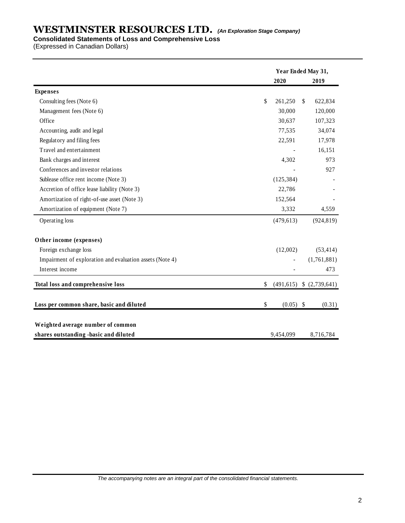#### **Consolidated Statements of Loss and Comprehensive Loss**

(Expressed in Canadian Dollars)

| Year Ended May 31, |  |                                                                                                                                                                   |                |
|--------------------|--|-------------------------------------------------------------------------------------------------------------------------------------------------------------------|----------------|
|                    |  |                                                                                                                                                                   | 2019           |
|                    |  |                                                                                                                                                                   |                |
| \$                 |  | \$                                                                                                                                                                | 622,834        |
|                    |  |                                                                                                                                                                   | 120,000        |
|                    |  |                                                                                                                                                                   | 107,323        |
|                    |  |                                                                                                                                                                   | 34,074         |
|                    |  |                                                                                                                                                                   | 17,978         |
|                    |  |                                                                                                                                                                   | 16,151         |
|                    |  |                                                                                                                                                                   | 973            |
|                    |  |                                                                                                                                                                   | 927            |
|                    |  |                                                                                                                                                                   |                |
|                    |  |                                                                                                                                                                   |                |
|                    |  |                                                                                                                                                                   |                |
|                    |  |                                                                                                                                                                   | 4,559          |
|                    |  |                                                                                                                                                                   | (924, 819)     |
|                    |  |                                                                                                                                                                   |                |
|                    |  |                                                                                                                                                                   | (53, 414)      |
|                    |  |                                                                                                                                                                   | (1,761,881)    |
|                    |  |                                                                                                                                                                   | 473            |
| \$                 |  |                                                                                                                                                                   | \$ (2,739,641) |
| \$                 |  |                                                                                                                                                                   | (0.31)         |
|                    |  |                                                                                                                                                                   |                |
|                    |  |                                                                                                                                                                   | 8,716,784      |
|                    |  | 2020<br>261,250<br>30,000<br>30,637<br>77,535<br>22,591<br>4,302<br>(125, 384)<br>22,786<br>152,564<br>3,332<br>(479, 613)<br>(12,002)<br>(491, 615)<br>9,454,099 | $(0.05)$ \$    |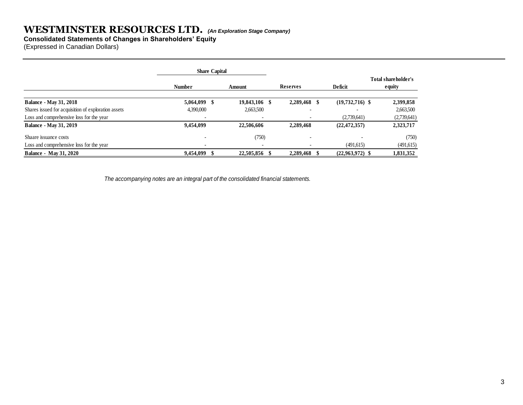**Consolidated Statements of Changes in Shareholders' Equity**

(Expressed in Canadian Dollars)

|                                                     | <b>Share Capital</b>     |            |                          |                          |         |                               |             |
|-----------------------------------------------------|--------------------------|------------|--------------------------|--------------------------|---------|-------------------------------|-------------|
|                                                     | <b>Number</b>            | Amount     |                          | <b>Reserves</b>          | Deficit | Total shareholder's<br>equity |             |
| <b>Balance - May 31, 2018</b>                       | $5,064,099$ \$           | 19,843,106 |                          | 2,289,468 \$             |         | $(19,732,716)$ \$             | 2,399,858   |
| Shares issued for acquisition of exploration assets | 4,390,000                | 2,663,500  |                          | $\overline{\phantom{0}}$ |         |                               | 2,663,500   |
| Loss and comprehensive loss for the year            |                          |            |                          |                          |         | (2,739,641)                   | (2,739,641) |
| <b>Balance - May 31, 2019</b>                       | 9,454,099                | 22,506,606 |                          | 2,289,468                |         | (22, 472, 357)                | 2,323,717   |
| Shaare issuance costs                               |                          |            | (750)                    | $\overline{\phantom{0}}$ |         |                               | (750)       |
| Loss and comprehensive loss for the year            | $\overline{\phantom{a}}$ |            | $\overline{\phantom{a}}$ |                          |         | (491,615)                     | (491,615)   |
| <b>Balance - May 31, 2020</b>                       | 9,454,099 \$             | 22,505,856 |                          | 2,289,468                |         | $(22,963,972)$ \$             | 1,831,352   |

 *The accompanying notes are an integral part of the consolidated financial statements.*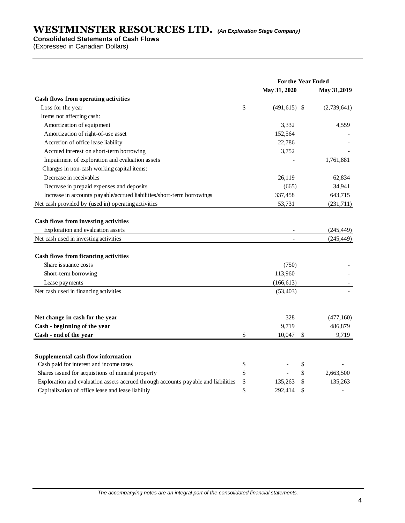**Consolidated Statements of Cash Flows**

(Expressed in Canadian Dollars)

|                                                                                    | For the Year Ended |                 |    |             |
|------------------------------------------------------------------------------------|--------------------|-----------------|----|-------------|
|                                                                                    |                    | May 31, 2020    |    | May 31,2019 |
| Cash flows from operating activities                                               |                    |                 |    |             |
| Loss for the year                                                                  | \$                 | $(491, 615)$ \$ |    | (2,739,641) |
| Items not affecting cash:                                                          |                    |                 |    |             |
| Amortization of equipment                                                          |                    | 3,332           |    | 4,559       |
| Amortization of right-of-use asset                                                 |                    | 152,564         |    |             |
| Accretion of office lease liability                                                |                    | 22,786          |    |             |
| Accrued interest on short-term borrowing                                           |                    | 3,752           |    |             |
| Impairment of exploration and evaluation assets                                    |                    |                 |    | 1,761,881   |
| Changes in non-cash working capital items:                                         |                    |                 |    |             |
| Decrease in receivables                                                            |                    | 26,119          |    | 62,834      |
| Decrease in prepaid expenses and deposits                                          |                    | (665)           |    | 34,941      |
| Increase in accounts payable/accrued liabilities/short-term borrowings             |                    | 337,458         |    | 643,715     |
| Net cash provided by (used in) operating activities                                |                    | 53,731          |    | (231,711)   |
| Cash flows from investing activities<br>Exploration and evaluation assets          |                    |                 |    | (245, 449)  |
| Net cash used in investing activities                                              |                    |                 |    | (245, 449)  |
| <b>Cash flows from ficancing activities</b>                                        |                    |                 |    |             |
| Share issuance costs                                                               |                    | (750)           |    |             |
| Short-term borrowing                                                               |                    | 113,960         |    |             |
| Lease payments                                                                     |                    | (166, 613)      |    |             |
| Net cash used in financing activities                                              |                    | (53, 403)       |    |             |
|                                                                                    |                    |                 |    |             |
|                                                                                    |                    |                 |    |             |
| Net change in cash for the year                                                    |                    | 328             |    | (477,160)   |
| Cash - beginning of the year                                                       |                    | 9,719           |    | 486,879     |
| Cash - end of the year                                                             | \$                 | 10,047          | \$ | 9,719       |
| Supplemental cash flow information                                                 |                    |                 |    |             |
| Cash paid for interest and income taxes                                            | \$                 |                 | \$ |             |
| Shares issued for acquistions of mineral property                                  | \$                 |                 | \$ | 2,663,500   |
| Exploration and evaluation assets accrued through accounts payable and liabilities | \$                 | 135,263         |    | 135,263     |
| Capitalization of office lease and lease liabiltiy                                 | \$                 | 292,414         | \$ |             |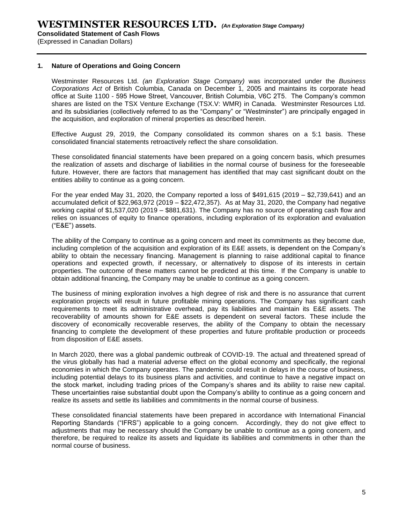**Consolidated Statement of Cash Flows**

(Expressed in Canadian Dollars)

#### **1. Nature of Operations and Going Concern**

Westminster Resources Ltd. *(an Exploration Stage Company)* was incorporated under the *Business Corporations Act* of British Columbia, Canada on December 1, 2005 and maintains its corporate head office at Suite 1100 - 595 Howe Street, Vancouver, British Columbia, V6C 2T5. The Company's common shares are listed on the TSX Venture Exchange (TSX.V: WMR) in Canada. Westminster Resources Ltd. and its subsidiaries (collectively referred to as the "Company" or "Westminster") are principally engaged in the acquisition, and exploration of mineral properties as described herein.

Effective August 29, 2019, the Company consolidated its common shares on a 5:1 basis. These consolidated financial statements retroactively reflect the share consolidation.

These consolidated financial statements have been prepared on a going concern basis, which presumes the realization of assets and discharge of liabilities in the normal course of business for the foreseeable future. However, there are factors that management has identified that may cast significant doubt on the entities ability to continue as a going concern.

For the year ended May 31, 2020, the Company reported a loss of \$491,615 (2019 – \$2,739,641) and an accumulated deficit of \$22,963,972 (2019 – \$22,472,357). As at May 31, 2020, the Company had negative working capital of \$1,537,020 (2019 – \$881,631). The Company has no source of operating cash flow and relies on issuances of equity to finance operations, including exploration of its exploration and evaluation ("E&E") assets.

The ability of the Company to continue as a going concern and meet its commitments as they become due, including completion of the acquisition and exploration of its E&E assets, is dependent on the Company's ability to obtain the necessary financing. Management is planning to raise additional capital to finance operations and expected growth, if necessary, or alternatively to dispose of its interests in certain properties. The outcome of these matters cannot be predicted at this time. If the Company is unable to obtain additional financing, the Company may be unable to continue as a going concern.

The business of mining exploration involves a high degree of risk and there is no assurance that current exploration projects will result in future profitable mining operations. The Company has significant cash requirements to meet its administrative overhead, pay its liabilities and maintain its E&E assets. The recoverability of amounts shown for E&E assets is dependent on several factors. These include the discovery of economically recoverable reserves, the ability of the Company to obtain the necessary financing to complete the development of these properties and future profitable production or proceeds from disposition of E&E assets.

In March 2020, there was a global pandemic outbreak of COVID-19. The actual and threatened spread of the virus globally has had a material adverse effect on the global economy and specifically, the regional economies in which the Company operates. The pandemic could result in delays in the course of business, including potential delays to its business plans and activities, and continue to have a negative impact on the stock market, including trading prices of the Company's shares and its ability to raise new capital. These uncertainties raise substantial doubt upon the Company's ability to continue as a going concern and realize its assets and settle its liabilities and commitments in the normal course of business.

These consolidated financial statements have been prepared in accordance with International Financial Reporting Standards ("IFRS") applicable to a going concern. Accordingly, they do not give effect to adjustments that may be necessary should the Company be unable to continue as a going concern, and therefore, be required to realize its assets and liquidate its liabilities and commitments in other than the normal course of business.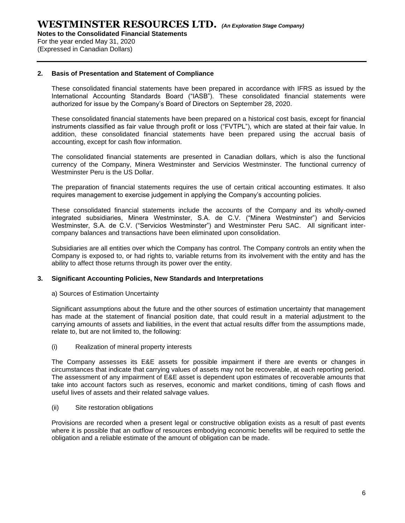**Notes to the Consolidated Financial Statements** For the year ended May 31, 2020

(Expressed in Canadian Dollars)

#### **2. Basis of Presentation and Statement of Compliance**

These consolidated financial statements have been prepared in accordance with IFRS as issued by the International Accounting Standards Board ("IASB"). These consolidated financial statements were authorized for issue by the Company's Board of Directors on September 28, 2020.

These consolidated financial statements have been prepared on a historical cost basis, except for financial instruments classified as fair value through profit or loss ("FVTPL"), which are stated at their fair value. In addition, these consolidated financial statements have been prepared using the accrual basis of accounting, except for cash flow information.

The consolidated financial statements are presented in Canadian dollars, which is also the functional currency of the Company, Minera Westminster and Servicios Westminster. The functional currency of Westminster Peru is the US Dollar.

The preparation of financial statements requires the use of certain critical accounting estimates. It also requires management to exercise judgement in applying the Company's accounting policies.

These consolidated financial statements include the accounts of the Company and its wholly-owned integrated subsidiaries, Minera Westminster, S.A. de C.V. ("Minera Westminster") and Servicios Westminster, S.A. de C.V. ("Servicios Westminster") and Westminster Peru SAC. All significant intercompany balances and transactions have been eliminated upon consolidation.

Subsidiaries are all entities over which the Company has control. The Company controls an entity when the Company is exposed to, or had rights to, variable returns from its involvement with the entity and has the ability to affect those returns through its power over the entity.

#### **3. Significant Accounting Policies, New Standards and Interpretations**

#### a) Sources of Estimation Uncertainty

Significant assumptions about the future and the other sources of estimation uncertainty that management has made at the statement of financial position date, that could result in a material adjustment to the carrying amounts of assets and liabilities, in the event that actual results differ from the assumptions made, relate to, but are not limited to, the following:

(i) Realization of mineral property interests

The Company assesses its E&E assets for possible impairment if there are events or changes in circumstances that indicate that carrying values of assets may not be recoverable, at each reporting period. The assessment of any impairment of E&E asset is dependent upon estimates of recoverable amounts that take into account factors such as reserves, economic and market conditions, timing of cash flows and useful lives of assets and their related salvage values.

(ii) Site restoration obligations

Provisions are recorded when a present legal or constructive obligation exists as a result of past events where it is possible that an outflow of resources embodying economic benefits will be required to settle the obligation and a reliable estimate of the amount of obligation can be made.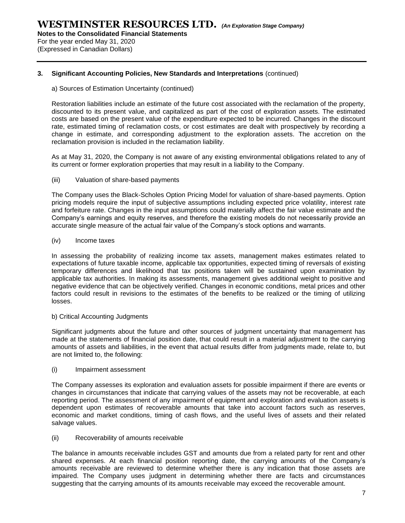For the year ended May 31, 2020 (Expressed in Canadian Dollars)

#### **3. Significant Accounting Policies, New Standards and Interpretations** (continued)

#### a) Sources of Estimation Uncertainty (continued)

Restoration liabilities include an estimate of the future cost associated with the reclamation of the property, discounted to its present value, and capitalized as part of the cost of exploration assets. The estimated costs are based on the present value of the expenditure expected to be incurred. Changes in the discount rate, estimated timing of reclamation costs, or cost estimates are dealt with prospectively by recording a change in estimate, and corresponding adjustment to the exploration assets. The accretion on the reclamation provision is included in the reclamation liability.

As at May 31, 2020, the Company is not aware of any existing environmental obligations related to any of its current or former exploration properties that may result in a liability to the Company.

#### (iii) Valuation of share-based payments

The Company uses the Black-Scholes Option Pricing Model for valuation of share-based payments. Option pricing models require the input of subjective assumptions including expected price volatility, interest rate and forfeiture rate. Changes in the input assumptions could materially affect the fair value estimate and the Company's earnings and equity reserves, and therefore the existing models do not necessarily provide an accurate single measure of the actual fair value of the Company's stock options and warrants.

#### (iv) Income taxes

In assessing the probability of realizing income tax assets, management makes estimates related to expectations of future taxable income, applicable tax opportunities, expected timing of reversals of existing temporary differences and likelihood that tax positions taken will be sustained upon examination by applicable tax authorities. In making its assessments, management gives additional weight to positive and negative evidence that can be objectively verified. Changes in economic conditions, metal prices and other factors could result in revisions to the estimates of the benefits to be realized or the timing of utilizing losses.

#### b) Critical Accounting Judgments

Significant judgments about the future and other sources of judgment uncertainty that management has made at the statements of financial position date, that could result in a material adjustment to the carrying amounts of assets and liabilities, in the event that actual results differ from judgments made, relate to, but are not limited to, the following:

#### (i) Impairment assessment

The Company assesses its exploration and evaluation assets for possible impairment if there are events or changes in circumstances that indicate that carrying values of the assets may not be recoverable, at each reporting period. The assessment of any impairment of equipment and exploration and evaluation assets is dependent upon estimates of recoverable amounts that take into account factors such as reserves, economic and market conditions, timing of cash flows, and the useful lives of assets and their related salvage values.

#### (ii) Recoverability of amounts receivable

The balance in amounts receivable includes GST and amounts due from a related party for rent and other shared expenses. At each financial position reporting date, the carrying amounts of the Company's amounts receivable are reviewed to determine whether there is any indication that those assets are impaired. The Company uses judgment in determining whether there are facts and circumstances suggesting that the carrying amounts of its amounts receivable may exceed the recoverable amount.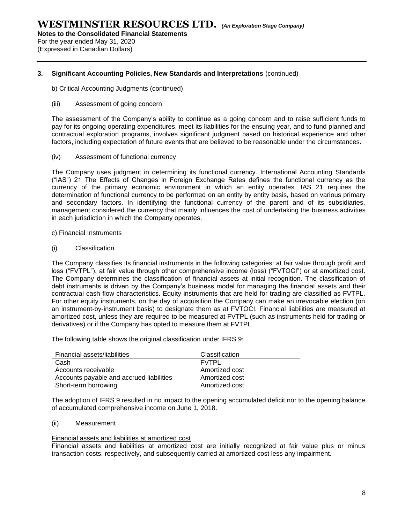For the year ended May 31, 2020 (Expressed in Canadian Dollars)

#### **3. Significant Accounting Policies, New Standards and Interpretations** (continued)

b) Critical Accounting Judgments (continued)

#### (iii) Assessment of going concern

The assessment of the Company's ability to continue as a going concern and to raise sufficient funds to pay for its ongoing operating expenditures, meet its liabilities for the ensuing year, and to fund planned and contractual exploration programs, involves significant judgment based on historical experience and other factors, including expectation of future events that are believed to be reasonable under the circumstances.

(iv) Assessment of functional currency

The Company uses judgment in determining its functional currency. International Accounting Standards ("IAS") 21 The Effects of Changes in Foreign Exchange Rates defines the functional currency as the currency of the primary economic environment in which an entity operates. IAS 21 requires the determination of functional currency to be performed on an entity by entity basis, based on various primary and secondary factors. In identifying the functional currency of the parent and of its subsidiaries, management considered the currency that mainly influences the cost of undertaking the business activities in each jurisdiction in which the Company operates.

- c) Financial Instruments
- (i) Classification

The Company classifies its financial instruments in the following categories: at fair value through profit and loss ("FVTPL"), at fair value through other comprehensive income (loss) ("FVTOCI") or at amortized cost. The Company determines the classification of financial assets at initial recognition. The classification of debt instruments is driven by the Company's business model for managing the financial assets and their contractual cash flow characteristics. Equity instruments that are held for trading are classified as FVTPL. For other equity instruments, on the day of acquisition the Company can make an irrevocable election (on an instrument-by-instrument basis) to designate them as at FVTOCI. Financial liabilities are measured at amortized cost, unless they are required to be measured at FVTPL (such as instruments held for trading or derivatives) or if the Company has opted to measure them at FVTPL.

The following table shows the original classification under IFRS 9:

| Financial assets/liabilities             | Classification |
|------------------------------------------|----------------|
| Cash                                     | <b>FVTPL</b>   |
| Accounts receivable                      | Amortized cost |
| Accounts payable and accrued liabilities | Amortized cost |
| Short-term borrowing                     | Amortized cost |

The adoption of IFRS 9 resulted in no impact to the opening accumulated deficit nor to the opening balance of accumulated comprehensive income on June 1, 2018.

#### (ii) Measurement

#### Financial assets and liabilities at amortized cost

Financial assets and liabilities at amortized cost are initially recognized at fair value plus or minus transaction costs, respectively, and subsequently carried at amortized cost less any impairment.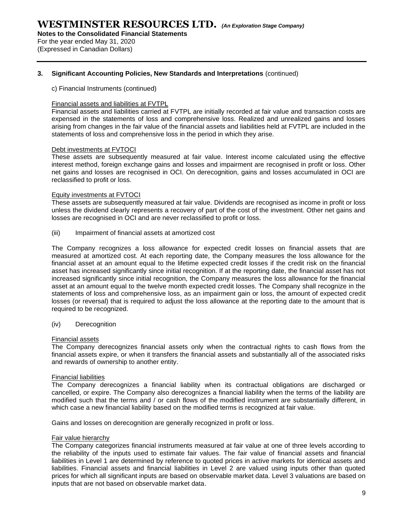**Notes to the Consolidated Financial Statements**

For the year ended May 31, 2020 (Expressed in Canadian Dollars)

#### **3. Significant Accounting Policies, New Standards and Interpretations** (continued)

#### c) Financial Instruments (continued)

#### Financial assets and liabilities at FVTPL

Financial assets and liabilities carried at FVTPL are initially recorded at fair value and transaction costs are expensed in the statements of loss and comprehensive loss. Realized and unrealized gains and losses arising from changes in the fair value of the financial assets and liabilities held at FVTPL are included in the statements of loss and comprehensive loss in the period in which they arise.

#### Debt investments at FVTOCI

These assets are subsequently measured at fair value. Interest income calculated using the effective interest method, foreign exchange gains and losses and impairment are recognised in profit or loss. Other net gains and losses are recognised in OCI. On derecognition, gains and losses accumulated in OCI are reclassified to profit or loss.

#### Equity investments at FVTOCI

These assets are subsequently measured at fair value. Dividends are recognised as income in profit or loss unless the dividend clearly represents a recovery of part of the cost of the investment. Other net gains and losses are recognised in OCI and are never reclassified to profit or loss.

(iii) Impairment of financial assets at amortized cost

The Company recognizes a loss allowance for expected credit losses on financial assets that are measured at amortized cost. At each reporting date, the Company measures the loss allowance for the financial asset at an amount equal to the lifetime expected credit losses if the credit risk on the financial asset has increased significantly since initial recognition. If at the reporting date, the financial asset has not increased significantly since initial recognition, the Company measures the loss allowance for the financial asset at an amount equal to the twelve month expected credit losses. The Company shall recognize in the statements of loss and comprehensive loss, as an impairment gain or loss, the amount of expected credit losses (or reversal) that is required to adjust the loss allowance at the reporting date to the amount that is required to be recognized.

#### (iv) Derecognition

#### Financial assets

The Company derecognizes financial assets only when the contractual rights to cash flows from the financial assets expire, or when it transfers the financial assets and substantially all of the associated risks and rewards of ownership to another entity.

#### Financial liabilities

The Company derecognizes a financial liability when its contractual obligations are discharged or cancelled, or expire. The Company also derecognizes a financial liability when the terms of the liability are modified such that the terms and / or cash flows of the modified instrument are substantially different, in which case a new financial liability based on the modified terms is recognized at fair value.

Gains and losses on derecognition are generally recognized in profit or loss.

#### Fair value hierarchy

The Company categorizes financial instruments measured at fair value at one of three levels according to the reliability of the inputs used to estimate fair values. The fair value of financial assets and financial liabilities in Level 1 are determined by reference to quoted prices in active markets for identical assets and liabilities. Financial assets and financial liabilities in Level 2 are valued using inputs other than quoted prices for which all significant inputs are based on observable market data. Level 3 valuations are based on inputs that are not based on observable market data.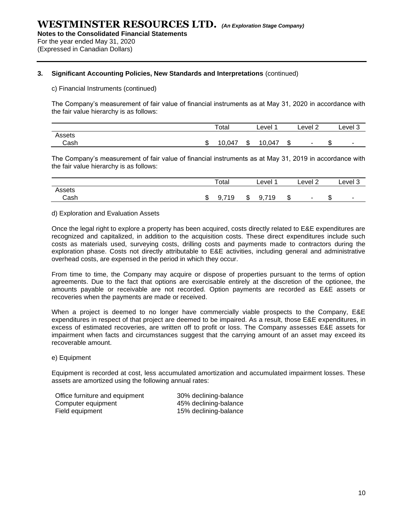(Expressed in Canadian Dollars)

#### **3. Significant Accounting Policies, New Standards and Interpretations** (continued)

c) Financial Instruments (continued)

The Company's measurement of fair value of financial instruments as at May 31, 2020 in accordance with the fair value hierarchy is as follows:

|        |   | Total |    | ∟evel ∶ |        | Level 2                  |         | Level 3 |
|--------|---|-------|----|---------|--------|--------------------------|---------|---------|
| Assets |   |       |    |         |        |                          |         |         |
| Cash   | w | 0,047 | ъD | 10,047  | ጦ<br>ъ | $\overline{\phantom{0}}$ | æ<br>۰D | $\sim$  |

The Company's measurement of fair value of financial instruments as at May 31, 2019 in accordance with the fair value hierarchy is as follows:

|        |   | Total       |   | Level      |   | Level 2                  |    | Level 3                  |
|--------|---|-------------|---|------------|---|--------------------------|----|--------------------------|
| Assets |   |             |   |            | æ |                          | m  |                          |
| Cash   | w | 719<br>9. . | จ | 719<br>ນ.≀ | ъ | $\overline{\phantom{a}}$ | ۰D | $\overline{\phantom{a}}$ |

#### d) Exploration and Evaluation Assets

Once the legal right to explore a property has been acquired, costs directly related to E&E expenditures are recognized and capitalized, in addition to the acquisition costs. These direct expenditures include such costs as materials used, surveying costs, drilling costs and payments made to contractors during the exploration phase. Costs not directly attributable to E&E activities, including general and administrative overhead costs, are expensed in the period in which they occur.

From time to time, the Company may acquire or dispose of properties pursuant to the terms of option agreements. Due to the fact that options are exercisable entirely at the discretion of the optionee, the amounts payable or receivable are not recorded. Option payments are recorded as E&E assets or recoveries when the payments are made or received.

When a project is deemed to no longer have commercially viable prospects to the Company, E&E expenditures in respect of that project are deemed to be impaired. As a result, those E&E expenditures, in excess of estimated recoveries, are written off to profit or loss. The Company assesses E&E assets for impairment when facts and circumstances suggest that the carrying amount of an asset may exceed its recoverable amount.

#### e) Equipment

Equipment is recorded at cost, less accumulated amortization and accumulated impairment losses. These assets are amortized using the following annual rates:

| Office furniture and equipment | 30% declining-balance |
|--------------------------------|-----------------------|
| Computer equipment             | 45% declining-balance |
| Field equipment                | 15% declining-balance |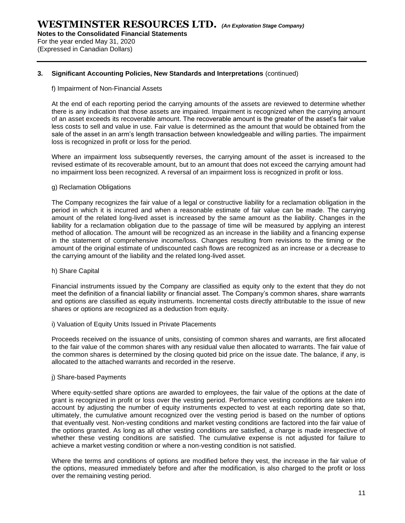For the year ended May 31, 2020 (Expressed in Canadian Dollars)

#### **3. Significant Accounting Policies, New Standards and Interpretations** (continued)

#### f) Impairment of Non-Financial Assets

At the end of each reporting period the carrying amounts of the assets are reviewed to determine whether there is any indication that those assets are impaired. Impairment is recognized when the carrying amount of an asset exceeds its recoverable amount. The recoverable amount is the greater of the asset's fair value less costs to sell and value in use. Fair value is determined as the amount that would be obtained from the sale of the asset in an arm's length transaction between knowledgeable and willing parties. The impairment loss is recognized in profit or loss for the period.

Where an impairment loss subsequently reverses, the carrying amount of the asset is increased to the revised estimate of its recoverable amount, but to an amount that does not exceed the carrying amount had no impairment loss been recognized. A reversal of an impairment loss is recognized in profit or loss.

#### g) Reclamation Obligations

The Company recognizes the fair value of a legal or constructive liability for a reclamation obligation in the period in which it is incurred and when a reasonable estimate of fair value can be made. The carrying amount of the related long-lived asset is increased by the same amount as the liability. Changes in the liability for a reclamation obligation due to the passage of time will be measured by applying an interest method of allocation. The amount will be recognized as an increase in the liability and a financing expense in the statement of comprehensive income/loss. Changes resulting from revisions to the timing or the amount of the original estimate of undiscounted cash flows are recognized as an increase or a decrease to the carrying amount of the liability and the related long-lived asset.

#### h) Share Capital

Financial instruments issued by the Company are classified as equity only to the extent that they do not meet the definition of a financial liability or financial asset. The Company's common shares, share warrants and options are classified as equity instruments. Incremental costs directly attributable to the issue of new shares or options are recognized as a deduction from equity.

#### i) Valuation of Equity Units Issued in Private Placements

Proceeds received on the issuance of units, consisting of common shares and warrants, are first allocated to the fair value of the common shares with any residual value then allocated to warrants. The fair value of the common shares is determined by the closing quoted bid price on the issue date. The balance, if any, is allocated to the attached warrants and recorded in the reserve.

#### j) Share-based Payments

Where equity-settled share options are awarded to employees, the fair value of the options at the date of grant is recognized in profit or loss over the vesting period. Performance vesting conditions are taken into account by adjusting the number of equity instruments expected to vest at each reporting date so that, ultimately, the cumulative amount recognized over the vesting period is based on the number of options that eventually vest. Non-vesting conditions and market vesting conditions are factored into the fair value of the options granted. As long as all other vesting conditions are satisfied, a charge is made irrespective of whether these vesting conditions are satisfied. The cumulative expense is not adjusted for failure to achieve a market vesting condition or where a non-vesting condition is not satisfied.

Where the terms and conditions of options are modified before they vest, the increase in the fair value of the options, measured immediately before and after the modification, is also charged to the profit or loss over the remaining vesting period.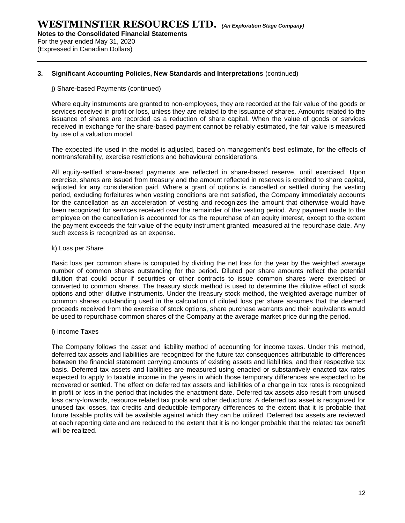**Notes to the Consolidated Financial Statements** For the year ended May 31, 2020

(Expressed in Canadian Dollars)

#### **3. Significant Accounting Policies, New Standards and Interpretations** (continued)

#### j) Share-based Payments (continued)

Where equity instruments are granted to non-employees, they are recorded at the fair value of the goods or services received in profit or loss, unless they are related to the issuance of shares. Amounts related to the issuance of shares are recorded as a reduction of share capital. When the value of goods or services received in exchange for the share-based payment cannot be reliably estimated, the fair value is measured by use of a valuation model.

The expected life used in the model is adjusted, based on management's best estimate, for the effects of nontransferability, exercise restrictions and behavioural considerations.

All equity-settled share-based payments are reflected in share-based reserve, until exercised. Upon exercise, shares are issued from treasury and the amount reflected in reserves is credited to share capital, adjusted for any consideration paid. Where a grant of options is cancelled or settled during the vesting period, excluding forfeitures when vesting conditions are not satisfied, the Company immediately accounts for the cancellation as an acceleration of vesting and recognizes the amount that otherwise would have been recognized for services received over the remainder of the vesting period. Any payment made to the employee on the cancellation is accounted for as the repurchase of an equity interest, except to the extent the payment exceeds the fair value of the equity instrument granted, measured at the repurchase date. Any such excess is recognized as an expense.

#### k) Loss per Share

Basic loss per common share is computed by dividing the net loss for the year by the weighted average number of common shares outstanding for the period. Diluted per share amounts reflect the potential dilution that could occur if securities or other contracts to issue common shares were exercised or converted to common shares. The treasury stock method is used to determine the dilutive effect of stock options and other dilutive instruments. Under the treasury stock method, the weighted average number of common shares outstanding used in the calculation of diluted loss per share assumes that the deemed proceeds received from the exercise of stock options, share purchase warrants and their equivalents would be used to repurchase common shares of the Company at the average market price during the period.

#### l) Income Taxes

The Company follows the asset and liability method of accounting for income taxes. Under this method, deferred tax assets and liabilities are recognized for the future tax consequences attributable to differences between the financial statement carrying amounts of existing assets and liabilities, and their respective tax basis. Deferred tax assets and liabilities are measured using enacted or substantively enacted tax rates expected to apply to taxable income in the years in which those temporary differences are expected to be recovered or settled. The effect on deferred tax assets and liabilities of a change in tax rates is recognized in profit or loss in the period that includes the enactment date. Deferred tax assets also result from unused loss carry-forwards, resource related tax pools and other deductions. A deferred tax asset is recognized for unused tax losses, tax credits and deductible temporary differences to the extent that it is probable that future taxable profits will be available against which they can be utilized. Deferred tax assets are reviewed at each reporting date and are reduced to the extent that it is no longer probable that the related tax benefit will be realized.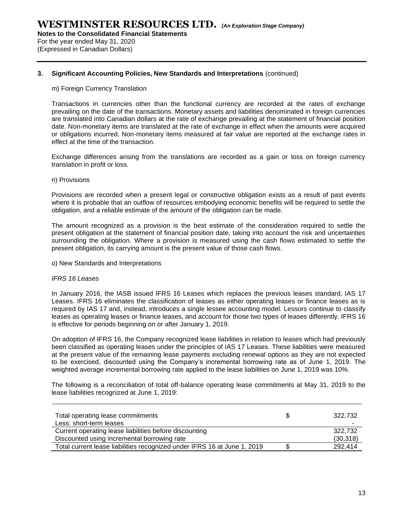**Notes to the Consolidated Financial Statements** For the year ended May 31, 2020

(Expressed in Canadian Dollars)

#### **3. Significant Accounting Policies, New Standards and Interpretations** (continued)

#### m) Foreign Currency Translation

Transactions in currencies other than the functional currency are recorded at the rates of exchange prevailing on the date of the transactions. Monetary assets and liabilities denominated in foreign currencies are translated into Canadian dollars at the rate of exchange prevailing at the statement of financial position date. Non-monetary items are translated at the rate of exchange in effect when the amounts were acquired or obligations incurred. Non-monetary items measured at fair value are reported at the exchange rates in effect at the time of the transaction.

Exchange differences arising from the translations are recorded as a gain or loss on foreign currency translation in profit or loss.

#### n) Provisions

Provisions are recorded when a present legal or constructive obligation exists as a result of past events where it is probable that an outflow of resources embodying economic benefits will be required to settle the obligation, and a reliable estimate of the amount of the obligation can be made.

The amount recognized as a provision is the best estimate of the consideration required to settle the present obligation at the statement of financial position date, taking into account the risk and uncertainties surrounding the obligation. Where a provision is measured using the cash flows estimated to settle the present obligation, its carrying amount is the present value of those cash flows.

o) New Standards and Interpretations

#### *IFRS 16 Leases*

In January 2016, the IASB issued IFRS 16 Leases which replaces the previous leases standard, IAS 17 Leases. IFRS 16 eliminates the classification of leases as either operating leases or finance leases as is required by IAS 17 and, instead, introduces a single lessee accounting model. Lessors continue to classify leases as operating leases or finance leases, and account for those two types of leases differently. IFRS 16 is effective for periods beginning on or after January 1, 2019.

On adoption of IFRS 16, the Company recognized lease liabilities in relation to leases which had previously been classified as operating leases under the principles of IAS 17 Leases. These liabilities were measured at the present value of the remaining lease payments excluding renewal options as they are not expected to be exercised, discounted using the Company's incremental borrowing rate as of June 1, 2019. The weighted average incremental borrowing rate applied to the lease liabilities on June 1, 2019 was 10%.

The following is a reconciliation of total off-balance operating lease commitments at May 31, 2019 to the lease liabilities recognized at June 1, 2019:

| Total operating lease commitments<br>Less: short-term leases             | 322.732<br>$\overline{\phantom{0}}$ |
|--------------------------------------------------------------------------|-------------------------------------|
| Current operating lease liabilities before discounting                   | 322.732                             |
| Discounted using incremental borrowing rate                              | (30, 318)                           |
| Total current lease liabilities recognized under IFRS 16 at June 1, 2019 | 292,414                             |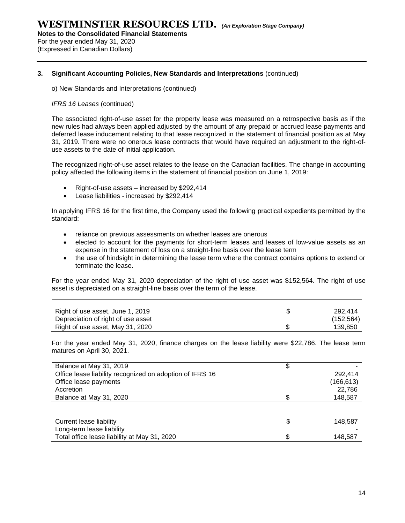For the year ended May 31, 2020 (Expressed in Canadian Dollars)

#### **3. Significant Accounting Policies, New Standards and Interpretations** (continued)

o) New Standards and Interpretations (continued)

#### *IFRS 16 Leases* (continued)

The associated right-of-use asset for the property lease was measured on a retrospective basis as if the new rules had always been applied adjusted by the amount of any prepaid or accrued lease payments and deferred lease inducement relating to that lease recognized in the statement of financial position as at May 31, 2019. There were no onerous lease contracts that would have required an adjustment to the right-ofuse assets to the date of initial application.

The recognized right-of-use asset relates to the lease on the Canadian facilities. The change in accounting policy affected the following items in the statement of financial position on June 1, 2019:

- Right-of-use assets increased by \$292,414
- Lease liabilities increased by \$292,414

In applying IFRS 16 for the first time, the Company used the following practical expedients permitted by the standard:

- reliance on previous assessments on whether leases are onerous
- elected to account for the payments for short-term leases and leases of low-value assets as an expense in the statement of loss on a straight-line basis over the lease term
- the use of hindsight in determining the lease term where the contract contains options to extend or terminate the lease.

For the year ended May 31, 2020 depreciation of the right of use asset was \$152,564. The right of use asset is depreciated on a straight-line basis over the term of the lease.

| Right of use asset, June 1, 2019<br>Depreciation of right of use asset | 292.414<br>(152, 564) |
|------------------------------------------------------------------------|-----------------------|
| Right of use asset, May 31, 2020                                       | 139,850               |

For the year ended May 31, 2020, finance charges on the lease liability were \$22,786. The lease term matures on April 30, 2021.

| Balance at May 31, 2019                                  |   |            |
|----------------------------------------------------------|---|------------|
| Office lease liability recognized on adoption of IFRS 16 |   | 292,414    |
| Office lease payments                                    |   | (166, 613) |
| Accretion                                                |   | 22,786     |
| Balance at May 31, 2020                                  |   | 148,587    |
|                                                          |   |            |
|                                                          |   |            |
| Current lease liability                                  | S | 148,587    |
| Long-term lease liability                                |   |            |
| Total office lease liability at May 31, 2020             |   | 148.587    |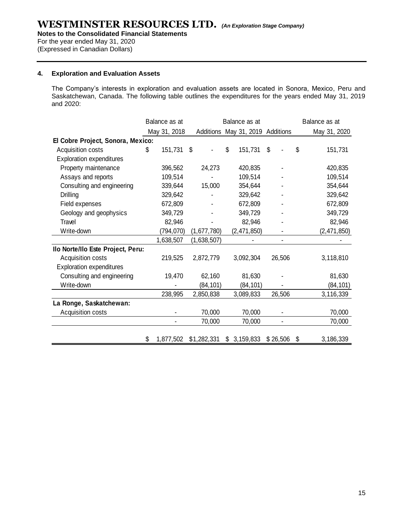For the year ended May 31, 2020 (Expressed in Canadian Dollars)

#### **4. Exploration and Evaluation Assets**

The Company's interests in exploration and evaluation assets are located in Sonora, Mexico, Peru and Saskatchewan, Canada. The following table outlines the expenditures for the years ended May 31, 2019 and 2020:

|                                   | Balance as at   |             | Balance as at                    |                | Balance as at   |
|-----------------------------------|-----------------|-------------|----------------------------------|----------------|-----------------|
|                                   | May 31, 2018    |             | Additions May 31, 2019 Additions |                | May 31, 2020    |
| El Cobre Project, Sonora, Mexico: |                 |             |                                  |                |                 |
| Acquisition costs                 | \$<br>151,731   | \$          | \$<br>151,731                    | \$             | \$<br>151,731   |
| <b>Exploration expenditures</b>   |                 |             |                                  |                |                 |
| Property maintenance              | 396,562         | 24,273      | 420,835                          |                | 420,835         |
| Assays and reports                | 109,514         |             | 109,514                          |                | 109,514         |
| Consulting and engineering        | 339,644         | 15,000      | 354,644                          |                | 354,644         |
| Drilling                          | 329,642         |             | 329,642                          |                | 329,642         |
| Field expenses                    | 672,809         |             | 672,809                          |                | 672,809         |
| Geology and geophysics            | 349,729         |             | 349,729                          |                | 349,729         |
| Travel                            | 82,946          |             | 82,946                           |                | 82,946          |
| Write-down                        | (794, 070)      | (1,677,780) | (2,471,850)                      |                | (2,471,850)     |
|                                   | 1,638,507       | (1,638,507) |                                  |                |                 |
| Ilo Norte/Ilo Este Project, Peru: |                 |             |                                  |                |                 |
| Acquisition costs                 | 219,525         | 2,872,779   | 3,092,304                        | 26,506         | 3,118,810       |
| <b>Exploration expenditures</b>   |                 |             |                                  |                |                 |
| Consulting and engineering        | 19,470          | 62,160      | 81,630                           |                | 81,630          |
| Write-down                        |                 | (84, 101)   | (84, 101)                        |                | (84, 101)       |
|                                   | 238,995         | 2,850,838   | 3,089,833                        | 26,506         | 3,116,339       |
| La Ronge, Saskatchewan:           |                 |             |                                  |                |                 |
| Acquisition costs                 |                 | 70,000      | 70,000                           | $\blacksquare$ | 70,000          |
|                                   |                 | 70,000      | 70,000                           | $\blacksquare$ | 70,000          |
|                                   |                 |             |                                  |                |                 |
|                                   | \$<br>1,877,502 | \$1,282,331 | \$3,159,833                      | \$26,506       | \$<br>3,186,339 |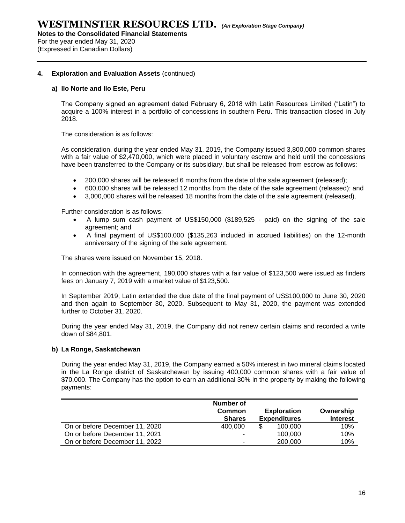For the year ended May 31, 2020 (Expressed in Canadian Dollars)

#### **4. Exploration and Evaluation Assets** (continued)

#### **a) Ilo Norte and Ilo Este, Peru**

The Company signed an agreement dated February 6, 2018 with Latin Resources Limited ("Latin") to acquire a 100% interest in a portfolio of concessions in southern Peru. This transaction closed in July 2018.

The consideration is as follows:

As consideration, during the year ended May 31, 2019, the Company issued 3,800,000 common shares with a fair value of \$2,470,000, which were placed in voluntary escrow and held until the concessions have been transferred to the Company or its subsidiary, but shall be released from escrow as follows:

- 200,000 shares will be released 6 months from the date of the sale agreement (released);
- 600,000 shares will be released 12 months from the date of the sale agreement (released); and
- 3,000,000 shares will be released 18 months from the date of the sale agreement (released).

Further consideration is as follows:

- A lump sum cash payment of US\$150,000 (\$189,525 paid) on the signing of the sale agreement; and
- A final payment of US\$100,000 (\$135,263 included in accrued liabilities) on the 12-month anniversary of the signing of the sale agreement.

The shares were issued on November 15, 2018.

In connection with the agreement, 190,000 shares with a fair value of \$123,500 were issued as finders fees on January 7, 2019 with a market value of \$123,500.

In September 2019, Latin extended the due date of the final payment of US\$100,000 to June 30, 2020 and then again to September 30, 2020. Subsequent to May 31, 2020, the payment was extended further to October 31, 2020.

During the year ended May 31, 2019, the Company did not renew certain claims and recorded a write down of \$84,801.

#### **b) La Ronge, Saskatchewan**

During the year ended May 31, 2019, the Company earned a 50% interest in two mineral claims located in the La Ronge district of Saskatchewan by issuing 400,000 common shares with a fair value of \$70,000. The Company has the option to earn an additional 30% in the property by making the following payments:

|                                | Number of<br><b>Common</b><br><b>Shares</b> | <b>Exploration</b><br><b>Expenditures</b> | Ownership<br><b>Interest</b> |  |
|--------------------------------|---------------------------------------------|-------------------------------------------|------------------------------|--|
| On or before December 11, 2020 | 400,000                                     | \$<br>100.000                             | 10%                          |  |
| On or before December 11, 2021 | -                                           | 100,000                                   | 10%                          |  |
| On or before December 11, 2022 | -                                           | 200,000                                   | 10%                          |  |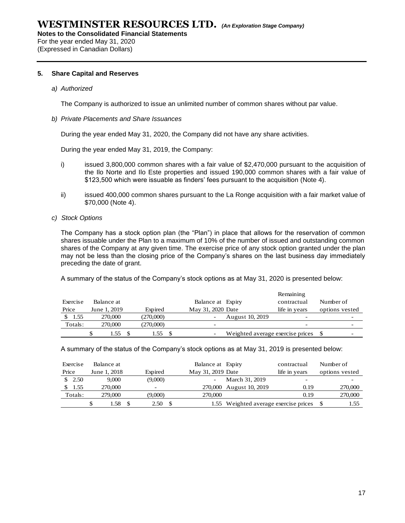**Notes to the Consolidated Financial Statements**

For the year ended May 31, 2020 (Expressed in Canadian Dollars)

#### **5. Share Capital and Reserves**

#### *a) Authorized*

The Company is authorized to issue an unlimited number of common shares without par value.

#### *b) Private Placements and Share Issuances*

During the year ended May 31, 2020, the Company did not have any share activities.

During the year ended May 31, 2019, the Company:

- i) issued 3,800,000 common shares with a fair value of \$2,470,000 pursuant to the acquisition of the Ilo Norte and Ilo Este properties and issued 190,000 common shares with a fair value of \$123,500 which were issuable as finders' fees pursuant to the acquisition (Note 4).
- ii) issued 400,000 common shares pursuant to the La Ronge acquisition with a fair market value of \$70,000 (Note 4).
- *c) Stock Options*

The Company has a stock option plan (the "Plan") in place that allows for the reservation of common shares issuable under the Plan to a maximum of 10% of the number of issued and outstanding common shares of the Company at any given time. The exercise price of any stock option granted under the plan may not be less than the closing price of the Company's shares on the last business day immediately preceding the date of grant.

A summary of the status of the Company's stock options as at May 31, 2020 is presented below:

|          |              |           |                   |                                     | Remaining                |                |  |
|----------|--------------|-----------|-------------------|-------------------------------------|--------------------------|----------------|--|
| Exercise | Balance at   |           | Balance at Expiry |                                     | contractual              | Number of      |  |
| Price    | June 1, 2019 | Expired   | May 31, 2020 Date |                                     | life in years            | options vested |  |
| 1.55     | 270,000      | (270,000) |                   | August 10, 2019                     |                          |                |  |
| Totals:  | 270,000      | (270,000) |                   |                                     | $\overline{\phantom{0}}$ |                |  |
|          | 1.55         | 1.55      |                   | Weighted average exercise prices \$ |                          |                |  |

A summary of the status of the Company's stock options as at May 31, 2019 is presented below:

| Exercise | Balance at   |         | Balance at Expiry |                                  | contractual   | Number of      |
|----------|--------------|---------|-------------------|----------------------------------|---------------|----------------|
| Price    | June 1, 2018 | Expired | May 31, 2019 Date |                                  | life in years | options vested |
| \$2.50   | 9.000        | (9,000) |                   | March 31, 2019                   |               |                |
| 1.55     | 270,000      | -       |                   | 270,000 August 10, 2019          | 0.19          | 270,000        |
| Totals:  | 279,000      | (9,000) | 270,000           |                                  | 0.19          | 270,000        |
|          | .58          | 2.50    | 1.55              | Weighted average exercise prices |               | 1.55           |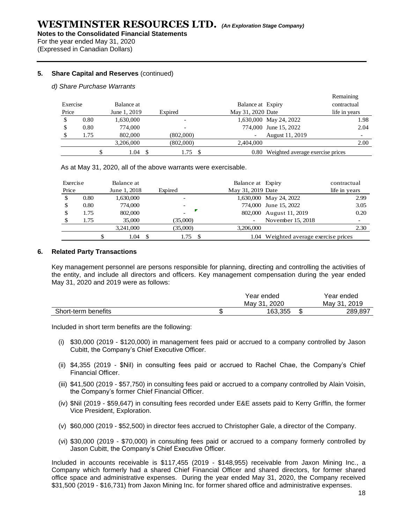For the year ended May 31, 2020 (Expressed in Canadian Dollars)

#### **5. Share Capital and Reserves** (continued)

#### *d) Share Purchase Warrants*

|          |      |              |      |                          | Remaining                             |                          |
|----------|------|--------------|------|--------------------------|---------------------------------------|--------------------------|
| Exercise |      | Balance at   |      |                          | Balance at Expiry<br>contractual      |                          |
| Price    |      | June 1, 2019 |      | Expired                  | May 31, 2020 Date<br>life in years    |                          |
|          | 0.80 | 1,630,000    |      | $\overline{\phantom{a}}$ | 1,630,000 May 24, 2022                | 1.98                     |
|          | 0.80 | 774,000      |      |                          | 774,000 June 15, 2022                 | 2.04                     |
|          | 1.75 | 802,000      |      | (802,000)                | August 11, 2019                       | $\overline{\phantom{a}}$ |
|          |      | 3,206,000    |      | (802,000)                | 2.404,000                             | 2.00                     |
|          |      | 1.04         | - \$ | 1.75                     | 0.80 Weighted average exercise prices |                          |

As at May 31, 2020, all of the above warrants were exercisable.

| Exercise |      | Balance at   |         |          | Balance at Expiry |                                       | contractual   |
|----------|------|--------------|---------|----------|-------------------|---------------------------------------|---------------|
| Price    |      | June 1, 2018 | Expired |          | May 31, 2019 Date |                                       | life in years |
|          | 0.80 | 1,630,000    |         |          |                   | 1,630,000 May 24, 2022                | 2.99          |
|          | 0.80 | 774,000      |         |          |                   | 774,000 June 15, 2022                 | 3.05          |
| \$       | 1.75 | 802,000      |         |          |                   | 802,000 August 11, 2019               | 0.20          |
|          | 1.75 | 35,000       |         | (35,000) |                   | November 15, 2018                     |               |
|          |      | 3,241,000    |         | (35,000) | 3.206.000         |                                       | 2.30          |
|          |      | 1.04         |         | 1.75     |                   | 1.04 Weighted average exercise prices |               |

#### **6. Related Party Transactions**

Key management personnel are persons responsible for planning, directing and controlling the activities of the entity, and include all directors and officers. Key management compensation during the year ended May 31, 2020 and 2019 were as follows:

|                     | Year ended      |   | Year ended     |
|---------------------|-----------------|---|----------------|
|                     | 2020<br>Mav 31. |   | 2019<br>Mav 31 |
| Short-term benefits | 163.355         | w | 289,897        |

Included in short term benefits are the following:

- (i) \$30,000 (2019 \$120,000) in management fees paid or accrued to a company controlled by Jason Cubitt, the Company's Chief Executive Officer.
- (ii) \$4,355 (2019 \$Nil) in consulting fees paid or accrued to Rachel Chae, the Company's Chief Financial Officer.
- (iii) \$41,500 (2019 \$57,750) in consulting fees paid or accrued to a company controlled by Alain Voisin, the Company's former Chief Financial Officer.
- (iv) \$Nil (2019 \$59,647) in consulting fees recorded under E&E assets paid to Kerry Griffin, the former Vice President, Exploration.
- (v) \$60,000 (2019 \$52,500) in director fees accrued to Christopher Gale, a director of the Company.
- (vi) \$30,000 (2019 \$70,000) in consulting fees paid or accrued to a company formerly controlled by Jason Cubitt, the Company's Chief Executive Officer.

Included in accounts receivable is \$117,455 (2019 - \$148,955) receivable from Jaxon Mining Inc., a Company which formerly had a shared Chief Financial Officer and shared directors, for former shared office space and administrative expenses. During the year ended May 31, 2020, the Company received \$31,500 (2019 - \$16,731) from Jaxon Mining Inc. for former shared office and administrative expenses.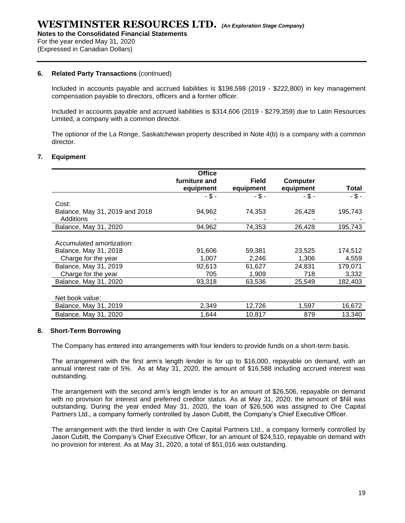#### **6. Related Party Transactions** (continued)

Included in accounts payable and accrued liabilities is \$198,598 (2019 - \$222,800) in key management compensation payable to directors, officers and a former officer.

Included in accounts payable and accrued liabilities is \$314,606 (2019 - \$279,359) due to Latin Resources Limited, a company with a common director.

The optionor of the La Ronge, Saskatchewan property described in Note 4(b) is a company with a common director.

#### **7. Equipment**

|                                | <b>Office</b> |              |           |          |
|--------------------------------|---------------|--------------|-----------|----------|
|                                | furniture and | <b>Field</b> | Computer  |          |
|                                | equipment     | equipment    | equipment | Total    |
|                                | $-$ \$ -      | - \$ -       | $-$ \$ -  | $-$ \$ - |
| Cost:                          |               |              |           |          |
| Balance, May 31, 2019 and 2018 | 94,962        | 74,353       | 26,428    | 195,743  |
| Additions                      |               |              |           |          |
| Balance, May 31, 2020          | 94,962        | 74,353       | 26,428    | 195.743  |
|                                |               |              |           |          |
| Accumulated amortization:      |               |              |           |          |
| Balance, May 31, 2018          | 91,606        | 59,381       | 23,525    | 174,512  |
| Charge for the year            | 1.007         | 2,246        | 1.306     | 4,559    |
| Balance, May 31, 2019          | 92,613        | 61,627       | 24,831    | 179,071  |
| Charge for the year            | 705           | 1,909        | 718       | 3,332    |
| Balance, May 31, 2020          | 93,318        | 63,536       | 25,549    | 182,403  |
|                                |               |              |           |          |
| Net book value:                |               |              |           |          |
| Balance, May 31, 2019          | 2,349         | 12,726       | 1,597     | 16,672   |
| Balance, May 31, 2020          | 1,644         | 10,817       | 879       | 13,340   |
|                                |               |              |           |          |

#### **8. Short-Term Borrowing**

The Company has entered into arrangements with four lenders to provide funds on a short-term basis.

The arrangement with the first arm's length lender is for up to \$16,000, repayable on demand, with an annual interest rate of 5%. As at May 31, 2020, the amount of \$16,588 including accrued interest was outstanding.

The arrangement with the second arm's length lender is for an amount of \$26,506, repayable on demand with no provision for interest and preferred creditor status. As at May 31, 2020, the amount of \$Nil was outstanding. During the year ended May 31, 2020, the loan of \$26,506 was assigned to Ore Capital Partners Ltd., a company formerly controlled by Jason Cubitt, the Company's Chief Executive Officer.

The arrangement with the third lender is with Ore Capital Partners Ltd., a company formerly controlled by Jason Cubitt, the Company's Chief Executive Officer, for an amount of \$24,510, repayable on demand with no provision for interest. As at May 31, 2020, a total of \$51,016 was outstanding.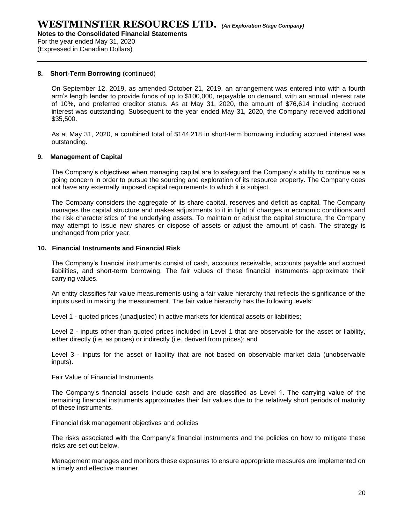#### **8. Short-Term Borrowing** (continued)

On September 12, 2019, as amended October 21, 2019, an arrangement was entered into with a fourth arm's length lender to provide funds of up to \$100,000, repayable on demand, with an annual interest rate of 10%, and preferred creditor status. As at May 31, 2020, the amount of \$76,614 including accrued interest was outstanding. Subsequent to the year ended May 31, 2020, the Company received additional \$35,500.

As at May 31, 2020, a combined total of \$144,218 in short-term borrowing including accrued interest was outstanding.

#### **9. Management of Capital**

The Company's objectives when managing capital are to safeguard the Company's ability to continue as a going concern in order to pursue the sourcing and exploration of its resource property. The Company does not have any externally imposed capital requirements to which it is subject.

The Company considers the aggregate of its share capital, reserves and deficit as capital. The Company manages the capital structure and makes adjustments to it in light of changes in economic conditions and the risk characteristics of the underlying assets. To maintain or adjust the capital structure, the Company may attempt to issue new shares or dispose of assets or adjust the amount of cash. The strategy is unchanged from prior year.

#### **10. Financial Instruments and Financial Risk**

The Company's financial instruments consist of cash, accounts receivable, accounts payable and accrued liabilities, and short-term borrowing. The fair values of these financial instruments approximate their carrying values.

An entity classifies fair value measurements using a fair value hierarchy that reflects the significance of the inputs used in making the measurement. The fair value hierarchy has the following levels:

Level 1 - quoted prices (unadjusted) in active markets for identical assets or liabilities;

Level 2 - inputs other than quoted prices included in Level 1 that are observable for the asset or liability, either directly (i.e. as prices) or indirectly (i.e. derived from prices); and

Level 3 - inputs for the asset or liability that are not based on observable market data (unobservable inputs).

Fair Value of Financial Instruments

The Company's financial assets include cash and are classified as Level 1. The carrying value of the remaining financial instruments approximates their fair values due to the relatively short periods of maturity of these instruments.

Financial risk management objectives and policies

The risks associated with the Company's financial instruments and the policies on how to mitigate these risks are set out below.

Management manages and monitors these exposures to ensure appropriate measures are implemented on a timely and effective manner.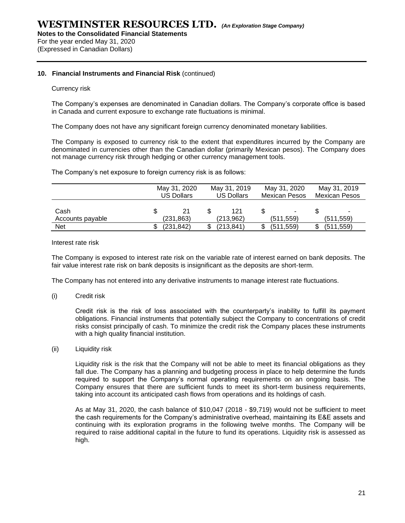For the year ended May 31, 2020 (Expressed in Canadian Dollars)

#### **10. Financial Instruments and Financial Risk** (continued)

#### Currency risk

The Company's expenses are denominated in Canadian dollars. The Company's corporate office is based in Canada and current exposure to exchange rate fluctuations is minimal.

The Company does not have any significant foreign currency denominated monetary liabilities.

The Company is exposed to currency risk to the extent that expenditures incurred by the Company are denominated in currencies other than the Canadian dollar (primarily Mexican pesos). The Company does not manage currency risk through hedging or other currency management tools.

The Company's net exposure to foreign currency risk is as follows:

|                  | May 31, 2020<br><b>US Dollars</b> |            | May 31, 2019<br><b>US Dollars</b> |           | May 31, 2020<br><b>Mexican Pesos</b> | May 31, 2019<br><b>Mexican Pesos</b> |            |
|------------------|-----------------------------------|------------|-----------------------------------|-----------|--------------------------------------|--------------------------------------|------------|
| Cash             |                                   | 21         |                                   | 121       |                                      |                                      | ۰          |
| Accounts payable |                                   | (231, 863) |                                   | (213,962) | (511, 559)                           |                                      | (511, 559) |
| Net              |                                   | (231, 842) |                                   | (213,841) | (511, 559)                           |                                      | (511, 559) |

Interest rate risk

The Company is exposed to interest rate risk on the variable rate of interest earned on bank deposits. The fair value interest rate risk on bank deposits is insignificant as the deposits are short-term.

The Company has not entered into any derivative instruments to manage interest rate fluctuations.

(i) Credit risk

Credit risk is the risk of loss associated with the counterparty's inability to fulfill its payment obligations. Financial instruments that potentially subject the Company to concentrations of credit risks consist principally of cash. To minimize the credit risk the Company places these instruments with a high quality financial institution.

(ii) Liquidity risk

Liquidity risk is the risk that the Company will not be able to meet its financial obligations as they fall due. The Company has a planning and budgeting process in place to help determine the funds required to support the Company's normal operating requirements on an ongoing basis. The Company ensures that there are sufficient funds to meet its short-term business requirements, taking into account its anticipated cash flows from operations and its holdings of cash.

As at May 31, 2020, the cash balance of \$10,047 (2018 - \$9,719) would not be sufficient to meet the cash requirements for the Company's administrative overhead, maintaining its E&E assets and continuing with its exploration programs in the following twelve months. The Company will be required to raise additional capital in the future to fund its operations. Liquidity risk is assessed as high.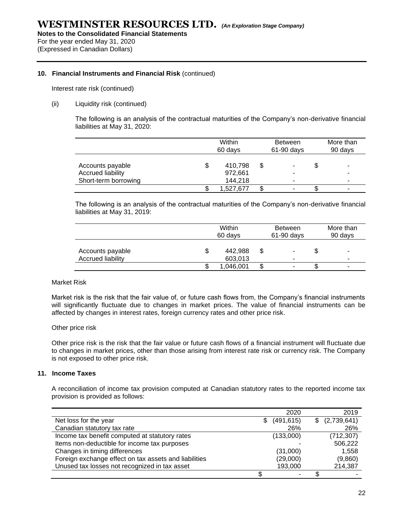For the year ended May 31, 2020 (Expressed in Canadian Dollars)

#### **10. Financial Instruments and Financial Risk** (continued)

Interest rate risk (continued)

#### (ii) Liquidity risk (continued)

The following is an analysis of the contractual maturities of the Company's non-derivative financial liabilities at May 31, 2020:

|                                                               | Within<br>60 days |                               |    | <b>Between</b><br>$61-90$ days |    | More than<br>90 days |  |
|---------------------------------------------------------------|-------------------|-------------------------------|----|--------------------------------|----|----------------------|--|
| Accounts payable<br>Accrued liability<br>Short-term borrowing | \$                | 410.798<br>972.661<br>144.218 | \$ | ۰<br>۰<br>۰                    | \$ | ۰<br>۰<br>۰          |  |
|                                                               |                   | 1.527.677                     | \$ | ۰                              | ъD |                      |  |

The following is an analysis of the contractual maturities of the Company's non-derivative financial liabilities at May 31, 2019:

|                                              | Within<br>60 days |                    |    | <b>Between</b><br>61-90 days | More than<br>90 days |                          |
|----------------------------------------------|-------------------|--------------------|----|------------------------------|----------------------|--------------------------|
| Accounts payable<br><b>Accrued liability</b> | \$                | 442.988<br>603,013 |    | ۰<br>$\blacksquare$          | ን                    |                          |
|                                              | ۰D                | 1,046,001          | \$ | ۰                            | æ                    | $\overline{\phantom{0}}$ |

#### Market Risk

Market risk is the risk that the fair value of, or future cash flows from, the Company's financial instruments will significantly fluctuate due to changes in market prices. The value of financial instruments can be affected by changes in interest rates, foreign currency rates and other price risk.

#### Other price risk

Other price risk is the risk that the fair value or future cash flows of a financial instrument will fluctuate due to changes in market prices, other than those arising from interest rate risk or currency risk. The Company is not exposed to other price risk.

#### **11. Income Taxes**

A reconciliation of income tax provision computed at Canadian statutory rates to the reported income tax provision is provided as follows:

|                                                       | 2020             |    | 2019        |
|-------------------------------------------------------|------------------|----|-------------|
| Net loss for the year                                 | \$<br>(491, 615) | S. | (2,739,641) |
| Canadian statutory tax rate                           | 26%              |    | 26%         |
| Income tax benefit computed at statutory rates        | (133,000)        |    | (712, 307)  |
| Items non-deductible for income tax purposes          |                  |    | 506,222     |
| Changes in timing differences                         | (31,000)         |    | 1,558       |
| Foreign exchange effect on tax assets and liabilities | (29,000)         |    | (9,860)     |
| Unused tax losses not recognized in tax asset         | 193,000          |    | 214,387     |
|                                                       |                  |    |             |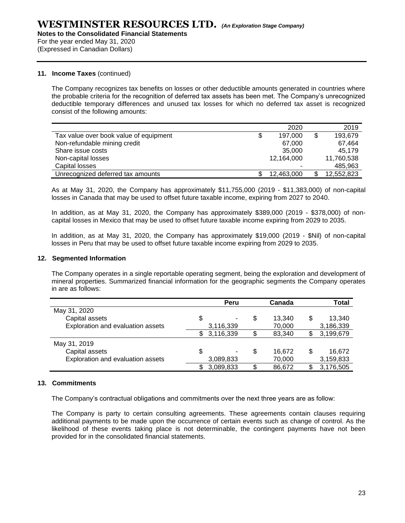For the year ended May 31, 2020 (Expressed in Canadian Dollars)

#### **11. Income Taxes** (continued)

The Company recognizes tax benefits on losses or other deductible amounts generated in countries where the probable criteria for the recognition of deferred tax assets has been met. The Company's unrecognized deductible temporary differences and unused tax losses for which no deferred tax asset is recognized consist of the following amounts:

|                                        | 2020          | 2019          |
|----------------------------------------|---------------|---------------|
| Tax value over book value of equipment | \$<br>197.000 | \$<br>193,679 |
| Non-refundable mining credit           | 67.000        | 67,464        |
| Share issue costs                      | 35,000        | 45.179        |
| Non-capital losses                     | 12,164,000    | 11,760,538    |
| Capital losses                         |               | 485,963       |
| Unrecognized deferred tax amounts      | 12,463,000    | 12,552,823    |

As at May 31, 2020, the Company has approximately \$11,755,000 (2019 - \$11,383,000) of non-capital losses in Canada that may be used to offset future taxable income, expiring from 2027 to 2040.

In addition, as at May 31, 2020, the Company has approximately \$389,000 (2019 - \$378,000) of noncapital losses in Mexico that may be used to offset future taxable income expiring from 2029 to 2035.

In addition, as at May 31, 2020, the Company has approximately \$19,000 (2019 - \$Nil) of non-capital losses in Peru that may be used to offset future taxable income expiring from 2029 to 2035.

#### **12. Segmented Information**

The Company operates in a single reportable operating segment, being the exploration and development of mineral properties. Summarized financial information for the geographic segments the Company operates in are as follows:

|                                   | Peru      | Canada       | Total        |
|-----------------------------------|-----------|--------------|--------------|
| May 31, 2020                      |           |              |              |
| Capital assets                    | \$        | \$<br>13,340 | \$<br>13,340 |
| Exploration and evaluation assets | 3,116,339 | 70,000       | 3,186,339    |
|                                   | 3,116,339 | \$<br>83,340 | 3,199,679    |
| May 31, 2019                      |           |              |              |
| Capital assets                    | \$        | \$<br>16,672 | \$<br>16,672 |
| Exploration and evaluation assets | 3,089,833 | 70,000       | 3,159,833    |
|                                   | 3,089,833 | \$<br>86,672 | 3,176,505    |

#### **13. Commitments**

The Company's contractual obligations and commitments over the next three years are as follow:

The Company is party to certain consulting agreements. These agreements contain clauses requiring additional payments to be made upon the occurrence of certain events such as change of control. As the likelihood of these events taking place is not determinable, the contingent payments have not been provided for in the consolidated financial statements.